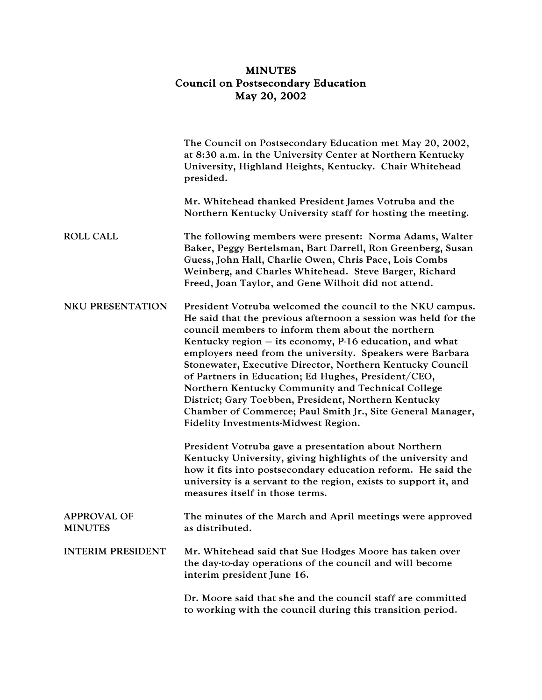## MINUTES Council on Postsecondary Education May 20, 2002

|                                      | The Council on Postsecondary Education met May 20, 2002,<br>at 8:30 a.m. in the University Center at Northern Kentucky<br>University, Highland Heights, Kentucky. Chair Whitehead<br>presided.                                                                                                                                                                                                                                                                                                                                                                                                                                                    |
|--------------------------------------|---------------------------------------------------------------------------------------------------------------------------------------------------------------------------------------------------------------------------------------------------------------------------------------------------------------------------------------------------------------------------------------------------------------------------------------------------------------------------------------------------------------------------------------------------------------------------------------------------------------------------------------------------|
|                                      | Mr. Whitehead thanked President James Votruba and the<br>Northern Kentucky University staff for hosting the meeting.                                                                                                                                                                                                                                                                                                                                                                                                                                                                                                                              |
| <b>ROLL CALL</b>                     | The following members were present: Norma Adams, Walter<br>Baker, Peggy Bertelsman, Bart Darrell, Ron Greenberg, Susan<br>Guess, John Hall, Charlie Owen, Chris Pace, Lois Combs<br>Weinberg, and Charles Whitehead. Steve Barger, Richard<br>Freed, Joan Taylor, and Gene Wilhoit did not attend.                                                                                                                                                                                                                                                                                                                                                |
| <b>NKU PRESENTATION</b>              | President Votruba welcomed the council to the NKU campus.<br>He said that the previous afternoon a session was held for the<br>council members to inform them about the northern<br>Kentucky region $-$ its economy, P-16 education, and what<br>employers need from the university. Speakers were Barbara<br>Stonewater, Executive Director, Northern Kentucky Council<br>of Partners in Education; Ed Hughes, President/CEO,<br>Northern Kentucky Community and Technical College<br>District; Gary Toebben, President, Northern Kentucky<br>Chamber of Commerce; Paul Smith Jr., Site General Manager,<br>Fidelity Investments-Midwest Region. |
|                                      | President Votruba gave a presentation about Northern<br>Kentucky University, giving highlights of the university and<br>how it fits into postsecondary education reform. He said the<br>university is a servant to the region, exists to support it, and<br>measures itself in those terms.                                                                                                                                                                                                                                                                                                                                                       |
| <b>APPROVAL OF</b><br><b>MINUTES</b> | The minutes of the March and April meetings were approved<br>as distributed.                                                                                                                                                                                                                                                                                                                                                                                                                                                                                                                                                                      |
| <b>INTERIM PRESIDENT</b>             | Mr. Whitehead said that Sue Hodges Moore has taken over<br>the day-to-day operations of the council and will become<br>interim president June 16.                                                                                                                                                                                                                                                                                                                                                                                                                                                                                                 |
|                                      | Dr. Moore said that she and the council staff are committed<br>to working with the council during this transition period.                                                                                                                                                                                                                                                                                                                                                                                                                                                                                                                         |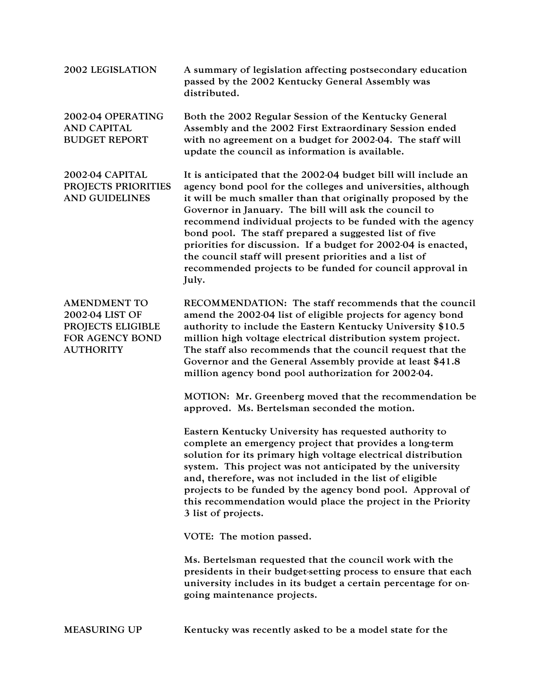| <b>2002 LEGISLATION</b>                                                                            | A summary of legislation affecting postsecondary education<br>passed by the 2002 Kentucky General Assembly was<br>distributed.                                                                                                                                                                                                                                                                                                                                                                                                                                                     |
|----------------------------------------------------------------------------------------------------|------------------------------------------------------------------------------------------------------------------------------------------------------------------------------------------------------------------------------------------------------------------------------------------------------------------------------------------------------------------------------------------------------------------------------------------------------------------------------------------------------------------------------------------------------------------------------------|
| 2002-04 OPERATING<br><b>AND CAPITAL</b><br><b>BUDGET REPORT</b>                                    | Both the 2002 Regular Session of the Kentucky General<br>Assembly and the 2002 First Extraordinary Session ended<br>with no agreement on a budget for 2002-04. The staff will<br>update the council as information is available.                                                                                                                                                                                                                                                                                                                                                   |
| 2002-04 CAPITAL<br>PROJECTS PRIORITIES<br><b>AND GUIDELINES</b>                                    | It is anticipated that the 2002-04 budget bill will include an<br>agency bond pool for the colleges and universities, although<br>it will be much smaller than that originally proposed by the<br>Governor in January. The bill will ask the council to<br>recommend individual projects to be funded with the agency<br>bond pool. The staff prepared a suggested list of five<br>priorities for discussion. If a budget for 2002-04 is enacted,<br>the council staff will present priorities and a list of<br>recommended projects to be funded for council approval in<br>July. |
| <b>AMENDMENT TO</b><br>2002-04 LIST OF<br>PROJECTS ELIGIBLE<br>FOR AGENCY BOND<br><b>AUTHORITY</b> | RECOMMENDATION: The staff recommends that the council<br>amend the 2002-04 list of eligible projects for agency bond<br>authority to include the Eastern Kentucky University \$10.5<br>million high voltage electrical distribution system project.<br>The staff also recommends that the council request that the<br>Governor and the General Assembly provide at least \$41.8<br>million agency bond pool authorization for 2002-04.                                                                                                                                             |
|                                                                                                    | MOTION: Mr. Greenberg moved that the recommendation be<br>approved. Ms. Bertelsman seconded the motion.                                                                                                                                                                                                                                                                                                                                                                                                                                                                            |
|                                                                                                    | Eastern Kentucky University has requested authority to<br>complete an emergency project that provides a long-term<br>solution for its primary high voltage electrical distribution<br>system. This project was not anticipated by the university<br>and, therefore, was not included in the list of eligible<br>projects to be funded by the agency bond pool. Approval of<br>this recommendation would place the project in the Priority<br>3 list of projects.                                                                                                                   |
|                                                                                                    | VOTE: The motion passed.                                                                                                                                                                                                                                                                                                                                                                                                                                                                                                                                                           |
|                                                                                                    | Ms. Bertelsman requested that the council work with the<br>presidents in their budget-setting process to ensure that each<br>university includes in its budget a certain percentage for on-<br>going maintenance projects.                                                                                                                                                                                                                                                                                                                                                         |
|                                                                                                    |                                                                                                                                                                                                                                                                                                                                                                                                                                                                                                                                                                                    |

MEASURING UP Kentucky was recently asked to be a model state for the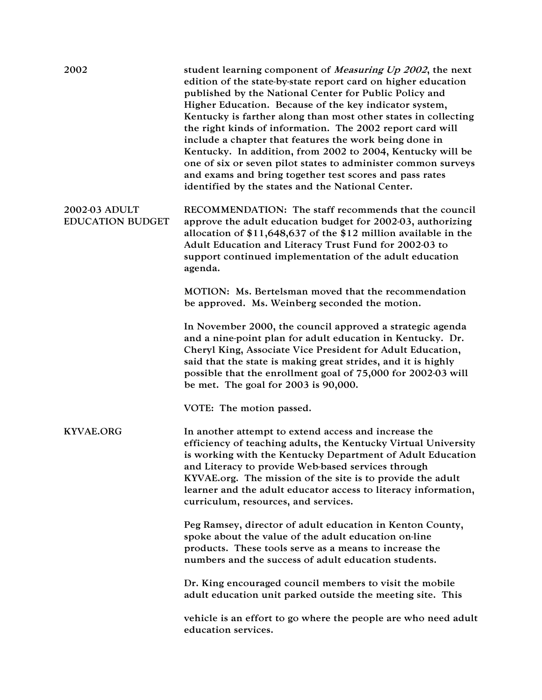| 2002                                     | student learning component of <i>Measuring Up 2002</i> , the next<br>edition of the state-by-state report card on higher education<br>published by the National Center for Public Policy and<br>Higher Education. Because of the key indicator system,<br>Kentucky is farther along than most other states in collecting<br>the right kinds of information. The 2002 report card will<br>include a chapter that features the work being done in<br>Kentucky. In addition, from 2002 to 2004, Kentucky will be<br>one of six or seven pilot states to administer common surveys<br>and exams and bring together test scores and pass rates<br>identified by the states and the National Center. |
|------------------------------------------|------------------------------------------------------------------------------------------------------------------------------------------------------------------------------------------------------------------------------------------------------------------------------------------------------------------------------------------------------------------------------------------------------------------------------------------------------------------------------------------------------------------------------------------------------------------------------------------------------------------------------------------------------------------------------------------------|
| 2002-03 ADULT<br><b>EDUCATION BUDGET</b> | RECOMMENDATION: The staff recommends that the council<br>approve the adult education budget for 2002-03, authorizing<br>allocation of $$11,648,637$ of the $$12$ million available in the<br>Adult Education and Literacy Trust Fund for 2002-03 to<br>support continued implementation of the adult education<br>agenda.                                                                                                                                                                                                                                                                                                                                                                      |
|                                          | MOTION: Ms. Bertelsman moved that the recommendation<br>be approved. Ms. Weinberg seconded the motion.                                                                                                                                                                                                                                                                                                                                                                                                                                                                                                                                                                                         |
|                                          | In November 2000, the council approved a strategic agenda<br>and a nine-point plan for adult education in Kentucky. Dr.<br>Cheryl King, Associate Vice President for Adult Education,<br>said that the state is making great strides, and it is highly<br>possible that the enrollment goal of 75,000 for 2002-03 will<br>be met. The goal for $2003$ is $90,000$ .                                                                                                                                                                                                                                                                                                                            |
|                                          | VOTE: The motion passed.                                                                                                                                                                                                                                                                                                                                                                                                                                                                                                                                                                                                                                                                       |
| <b>KYVAE.ORG</b>                         | In another attempt to extend access and increase the<br>efficiency of teaching adults, the Kentucky Virtual University<br>is working with the Kentucky Department of Adult Education<br>and Literacy to provide Web-based services through<br>KYVAE.org. The mission of the site is to provide the adult<br>learner and the adult educator access to literacy information,<br>curriculum, resources, and services.                                                                                                                                                                                                                                                                             |
|                                          | Peg Ramsey, director of adult education in Kenton County,<br>spoke about the value of the adult education on-line<br>products. These tools serve as a means to increase the<br>numbers and the success of adult education students.                                                                                                                                                                                                                                                                                                                                                                                                                                                            |
|                                          | Dr. King encouraged council members to visit the mobile<br>adult education unit parked outside the meeting site. This                                                                                                                                                                                                                                                                                                                                                                                                                                                                                                                                                                          |
|                                          | vehicle is an effort to go where the people are who need adult<br>education services.                                                                                                                                                                                                                                                                                                                                                                                                                                                                                                                                                                                                          |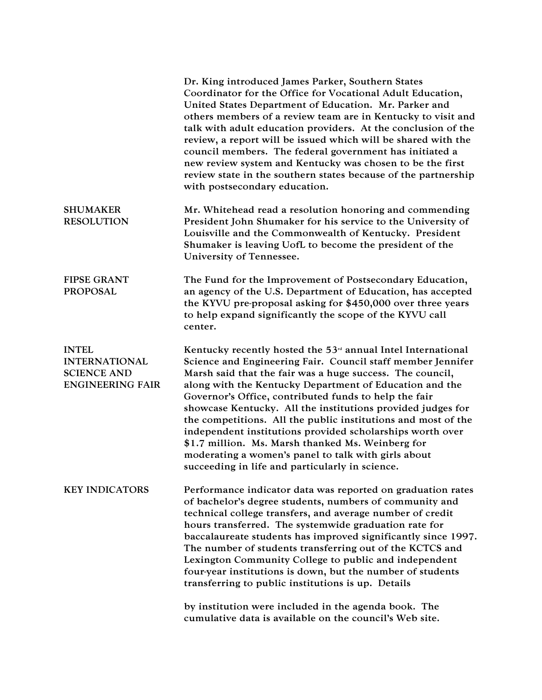|                                                                                       | Dr. King introduced James Parker, Southern States<br>Coordinator for the Office for Vocational Adult Education,<br>United States Department of Education. Mr. Parker and<br>others members of a review team are in Kentucky to visit and<br>talk with adult education providers. At the conclusion of the<br>review, a report will be issued which will be shared with the<br>council members. The federal government has initiated a<br>new review system and Kentucky was chosen to be the first<br>review state in the southern states because of the partnership<br>with postsecondary education.                                                                      |
|---------------------------------------------------------------------------------------|----------------------------------------------------------------------------------------------------------------------------------------------------------------------------------------------------------------------------------------------------------------------------------------------------------------------------------------------------------------------------------------------------------------------------------------------------------------------------------------------------------------------------------------------------------------------------------------------------------------------------------------------------------------------------|
| <b>SHUMAKER</b><br><b>RESOLUTION</b>                                                  | Mr. Whitehead read a resolution honoring and commending<br>President John Shumaker for his service to the University of<br>Louisville and the Commonwealth of Kentucky. President<br>Shumaker is leaving UofL to become the president of the<br>University of Tennessee.                                                                                                                                                                                                                                                                                                                                                                                                   |
| <b>FIPSE GRANT</b><br><b>PROPOSAL</b>                                                 | The Fund for the Improvement of Postsecondary Education,<br>an agency of the U.S. Department of Education, has accepted<br>the KYVU pre-proposal asking for \$450,000 over three years<br>to help expand significantly the scope of the KYVU call<br>center.                                                                                                                                                                                                                                                                                                                                                                                                               |
| <b>INTEL</b><br><b>INTERNATIONAL</b><br><b>SCIENCE AND</b><br><b>ENGINEERING FAIR</b> | Kentucky recently hosted the $53rd$ annual Intel International<br>Science and Engineering Fair. Council staff member Jennifer<br>Marsh said that the fair was a huge success. The council,<br>along with the Kentucky Department of Education and the<br>Governor's Office, contributed funds to help the fair<br>showcase Kentucky. All the institutions provided judges for<br>the competitions. All the public institutions and most of the<br>independent institutions provided scholarships worth over<br>\$1.7 million. Ms. Marsh thanked Ms. Weinberg for<br>moderating a women's panel to talk with girls about<br>succeeding in life and particularly in science. |
| <b>KEY INDICATORS</b>                                                                 | Performance indicator data was reported on graduation rates<br>of bachelor's degree students, numbers of community and<br>technical college transfers, and average number of credit<br>hours transferred. The systemwide graduation rate for<br>baccalaureate students has improved significantly since 1997.<br>The number of students transferring out of the KCTCS and<br>Lexington Community College to public and independent<br>four-year institutions is down, but the number of students<br>transferring to public institutions is up. Details                                                                                                                     |
|                                                                                       | by institution were included in the agenda book. The<br>cumulative data is available on the council's Web site.                                                                                                                                                                                                                                                                                                                                                                                                                                                                                                                                                            |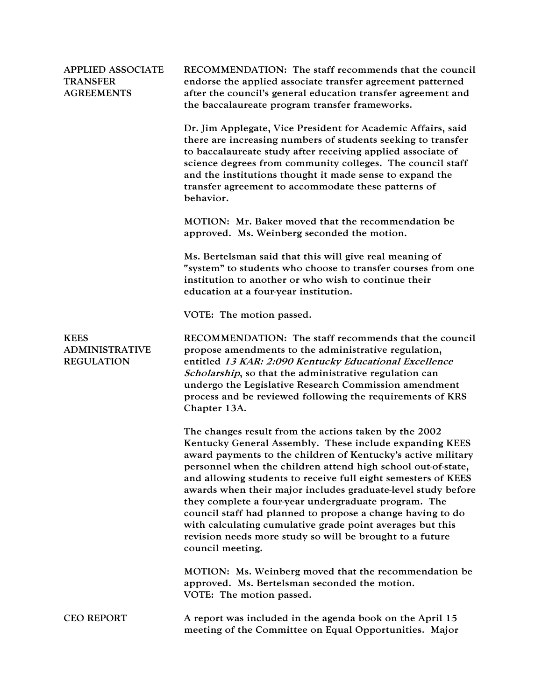| <b>APPLIED ASSOCIATE</b><br><b>TRANSFER</b><br><b>AGREEMENTS</b> | RECOMMENDATION: The staff recommends that the council<br>endorse the applied associate transfer agreement patterned<br>after the council's general education transfer agreement and<br>the baccalaureate program transfer frameworks.                                                                                                                                                                                                                                                                                                                                                                                                                |
|------------------------------------------------------------------|------------------------------------------------------------------------------------------------------------------------------------------------------------------------------------------------------------------------------------------------------------------------------------------------------------------------------------------------------------------------------------------------------------------------------------------------------------------------------------------------------------------------------------------------------------------------------------------------------------------------------------------------------|
|                                                                  | Dr. Jim Applegate, Vice President for Academic Affairs, said<br>there are increasing numbers of students seeking to transfer<br>to baccalaureate study after receiving applied associate of<br>science degrees from community colleges. The council staff<br>and the institutions thought it made sense to expand the<br>transfer agreement to accommodate these patterns of<br>behavior.                                                                                                                                                                                                                                                            |
|                                                                  | MOTION: Mr. Baker moved that the recommendation be<br>approved. Ms. Weinberg seconded the motion.                                                                                                                                                                                                                                                                                                                                                                                                                                                                                                                                                    |
|                                                                  | Ms. Bertelsman said that this will give real meaning of<br>"system" to students who choose to transfer courses from one<br>institution to another or who wish to continue their<br>education at a four-year institution.                                                                                                                                                                                                                                                                                                                                                                                                                             |
|                                                                  | VOTE: The motion passed.                                                                                                                                                                                                                                                                                                                                                                                                                                                                                                                                                                                                                             |
| <b>KEES</b><br><b>ADMINISTRATIVE</b><br><b>REGULATION</b>        | RECOMMENDATION: The staff recommends that the council<br>propose amendments to the administrative regulation,<br>entitled 13 KAR: 2:090 Kentucky Educational Excellence<br>Scholarship, so that the administrative regulation can<br>undergo the Legislative Research Commission amendment<br>process and be reviewed following the requirements of KRS<br>Chapter 13A.                                                                                                                                                                                                                                                                              |
|                                                                  | The changes result from the actions taken by the 2002<br>Kentucky General Assembly. These include expanding KEES<br>award payments to the children of Kentucky's active military<br>personnel when the children attend high school out-of-state,<br>and allowing students to receive full eight semesters of KEES<br>awards when their major includes graduate-level study before<br>they complete a four-year undergraduate program. The<br>council staff had planned to propose a change having to do<br>with calculating cumulative grade point averages but this<br>revision needs more study so will be brought to a future<br>council meeting. |
|                                                                  | MOTION: Ms. Weinberg moved that the recommendation be<br>approved. Ms. Bertelsman seconded the motion.<br>VOTE: The motion passed.                                                                                                                                                                                                                                                                                                                                                                                                                                                                                                                   |
| <b>CEO REPORT</b>                                                | A report was included in the agenda book on the April 15<br>meeting of the Committee on Equal Opportunities. Major                                                                                                                                                                                                                                                                                                                                                                                                                                                                                                                                   |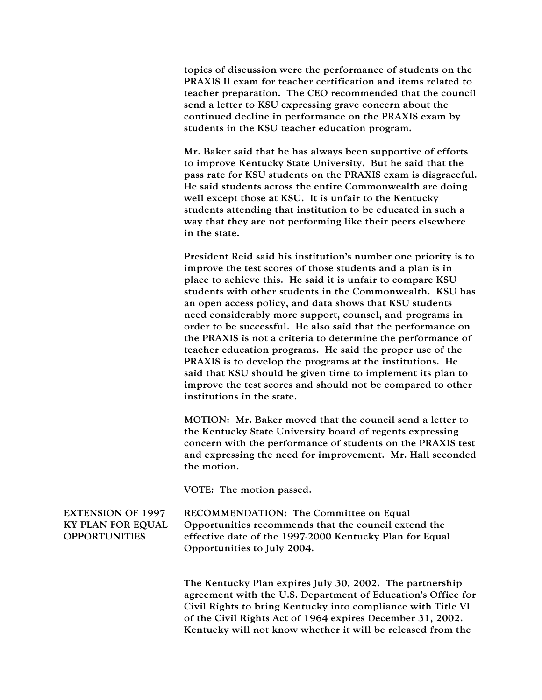topics of discussion were the performance of students on the PRAXIS II exam for teacher certification and items related to teacher preparation. The CEO recommended that the council send a letter to KSU expressing grave concern about the continued decline in performance on the PRAXIS exam by students in the KSU teacher education program.

Mr. Baker said that he has always been supportive of efforts to improve Kentucky State University. But he said that the pass rate for KSU students on the PRAXIS exam is disgraceful. He said students across the entire Commonwealth are doing well except those at KSU. It is unfair to the Kentucky students attending that institution to be educated in such a way that they are not performing like their peers elsewhere in the state.

President Reid said his institution's number one priority is to improve the test scores of those students and a plan is in place to achieve this. He said it is unfair to compare KSU students with other students in the Commonwealth. KSU has an open access policy, and data shows that KSU students need considerably more support, counsel, and programs in order to be successful. He also said that the performance on the PRAXIS is not a criteria to determine the performance of teacher education programs. He said the proper use of the PRAXIS is to develop the programs at the institutions. He said that KSU should be given time to implement its plan to improve the test scores and should not be compared to other institutions in the state.

MOTION: Mr. Baker moved that the council send a letter to the Kentucky State University board of regents expressing concern with the performance of students on the PRAXIS test and expressing the need for improvement. Mr. Hall seconded the motion.

VOTE: The motion passed.

EXTENSION OF 1997 KY PLAN FOR EQUAL **OPPORTUNITIES** 

RECOMMENDATION: The Committee on Equal Opportunities recommends that the council extend the effective date of the 1997-2000 Kentucky Plan for Equal Opportunities to July 2004.

The Kentucky Plan expires July 30, 2002. The partnership agreement with the U.S. Department of Education's Office for Civil Rights to bring Kentucky into compliance with Title VI of the Civil Rights Act of 1964 expires December 31, 2002. Kentucky will not know whether it will be released from the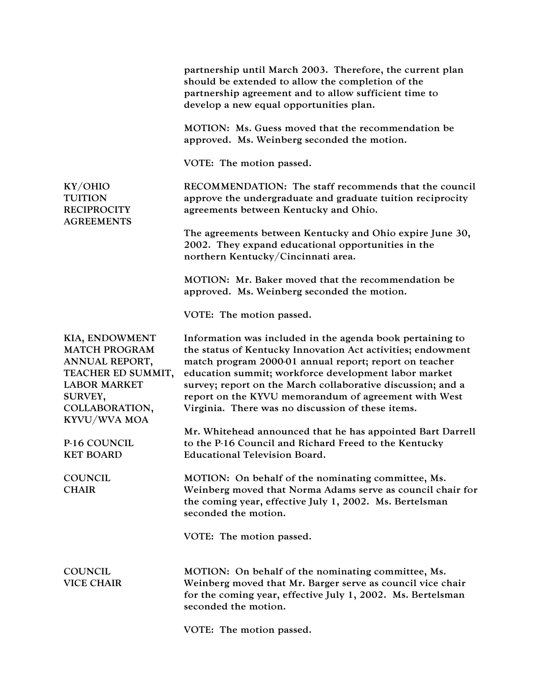|                                                                                                                                                    | partnership until March 2003. Therefore, the current plan<br>should be extended to allow the completion of the<br>partnership agreement and to allow sufficient time to<br>develop a new equal opportunities plan.                                                                                                                                                                                                     |
|----------------------------------------------------------------------------------------------------------------------------------------------------|------------------------------------------------------------------------------------------------------------------------------------------------------------------------------------------------------------------------------------------------------------------------------------------------------------------------------------------------------------------------------------------------------------------------|
|                                                                                                                                                    | MOTION: Ms. Guess moved that the recommendation be<br>approved. Ms. Weinberg seconded the motion.                                                                                                                                                                                                                                                                                                                      |
|                                                                                                                                                    | VOTE: The motion passed.                                                                                                                                                                                                                                                                                                                                                                                               |
| KY/OHIO<br><b>TUITION</b><br><b>RECIPROCITY</b><br><b>AGREEMENTS</b>                                                                               | RECOMMENDATION: The staff recommends that the council<br>approve the undergraduate and graduate tuition reciprocity<br>agreements between Kentucky and Ohio.                                                                                                                                                                                                                                                           |
|                                                                                                                                                    | The agreements between Kentucky and Ohio expire June 30,<br>2002. They expand educational opportunities in the<br>northern Kentucky/Cincinnati area.                                                                                                                                                                                                                                                                   |
|                                                                                                                                                    | MOTION: Mr. Baker moved that the recommendation be<br>approved. Ms. Weinberg seconded the motion.                                                                                                                                                                                                                                                                                                                      |
|                                                                                                                                                    | VOTE: The motion passed.                                                                                                                                                                                                                                                                                                                                                                                               |
| KIA, ENDOWMENT<br><b>MATCH PROGRAM</b><br>ANNUAL REPORT,<br>TEACHER ED SUMMIT,<br><b>LABOR MARKET</b><br>SURVEY,<br>COLLABORATION,<br>KYVU/WVA MOA | Information was included in the agenda book pertaining to<br>the status of Kentucky Innovation Act activities; endowment<br>match program 2000-01 annual report; report on teacher<br>education summit; workforce development labor market<br>survey; report on the March collaborative discussion; and a<br>report on the KYVU memorandum of agreement with West<br>Virginia. There was no discussion of these items. |
| P-16 COUNCIL<br><b>KET BOARD</b>                                                                                                                   | Mr. Whitehead announced that he has appointed Bart Darrell<br>to the P-16 Council and Richard Freed to the Kentucky<br><b>Educational Television Board.</b>                                                                                                                                                                                                                                                            |
| <b>COUNCIL</b><br><b>CHAIR</b>                                                                                                                     | MOTION: On behalf of the nominating committee, Ms.<br>Weinberg moved that Norma Adams serve as council chair for<br>the coming year, effective July 1, 2002. Ms. Bertelsman<br>seconded the motion.                                                                                                                                                                                                                    |
|                                                                                                                                                    | VOTE: The motion passed.                                                                                                                                                                                                                                                                                                                                                                                               |
| <b>COUNCIL</b><br><b>VICE CHAIR</b>                                                                                                                | MOTION: On behalf of the nominating committee, Ms.<br>Weinberg moved that Mr. Barger serve as council vice chair<br>for the coming year, effective July 1, 2002. Ms. Bertelsman<br>seconded the motion.                                                                                                                                                                                                                |
|                                                                                                                                                    | VOTE: The motion passed.                                                                                                                                                                                                                                                                                                                                                                                               |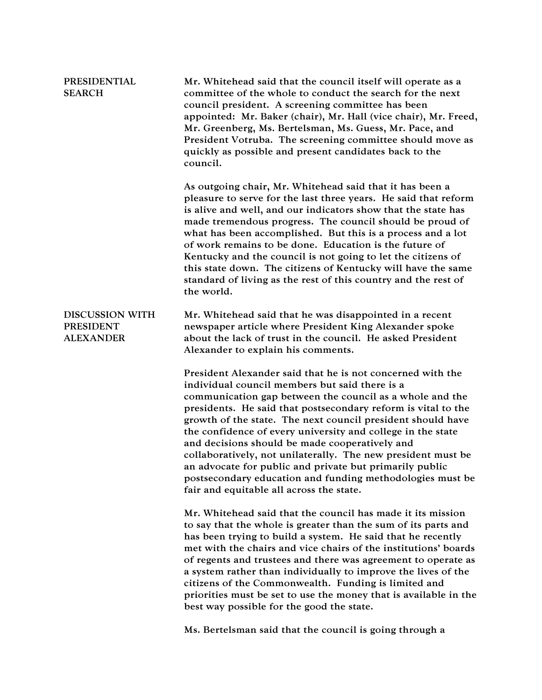| <b>PRESIDENTIAL</b><br><b>SEARCH</b>                           | Mr. Whitehead said that the council itself will operate as a<br>committee of the whole to conduct the search for the next<br>council president. A screening committee has been<br>appointed: Mr. Baker (chair), Mr. Hall (vice chair), Mr. Freed,<br>Mr. Greenberg, Ms. Bertelsman, Ms. Guess, Mr. Pace, and<br>President Votruba. The screening committee should move as<br>quickly as possible and present candidates back to the<br>council.                                                                                                                                                                                                               |
|----------------------------------------------------------------|---------------------------------------------------------------------------------------------------------------------------------------------------------------------------------------------------------------------------------------------------------------------------------------------------------------------------------------------------------------------------------------------------------------------------------------------------------------------------------------------------------------------------------------------------------------------------------------------------------------------------------------------------------------|
|                                                                | As outgoing chair, Mr. Whitehead said that it has been a<br>pleasure to serve for the last three years. He said that reform<br>is alive and well, and our indicators show that the state has<br>made tremendous progress. The council should be proud of<br>what has been accomplished. But this is a process and a lot<br>of work remains to be done. Education is the future of<br>Kentucky and the council is not going to let the citizens of<br>this state down. The citizens of Kentucky will have the same<br>standard of living as the rest of this country and the rest of<br>the world.                                                             |
| <b>DISCUSSION WITH</b><br><b>PRESIDENT</b><br><b>ALEXANDER</b> | Mr. Whitehead said that he was disappointed in a recent<br>newspaper article where President King Alexander spoke<br>about the lack of trust in the council. He asked President<br>Alexander to explain his comments.                                                                                                                                                                                                                                                                                                                                                                                                                                         |
|                                                                | President Alexander said that he is not concerned with the<br>individual council members but said there is a<br>communication gap between the council as a whole and the<br>presidents. He said that postsecondary reform is vital to the<br>growth of the state. The next council president should have<br>the confidence of every university and college in the state<br>and decisions should be made cooperatively and<br>collaboratively, not unilaterally. The new president must be<br>an advocate for public and private but primarily public<br>postsecondary education and funding methodologies must be<br>fair and equitable all across the state. |
|                                                                | Mr. Whitehead said that the council has made it its mission<br>to say that the whole is greater than the sum of its parts and<br>has been trying to build a system. He said that he recently<br>met with the chairs and vice chairs of the institutions' boards<br>of regents and trustees and there was agreement to operate as<br>a system rather than individually to improve the lives of the<br>citizens of the Commonwealth. Funding is limited and<br>priorities must be set to use the money that is available in the<br>best way possible for the good the state.                                                                                    |
|                                                                | Ms. Bertelsman said that the council is going through a                                                                                                                                                                                                                                                                                                                                                                                                                                                                                                                                                                                                       |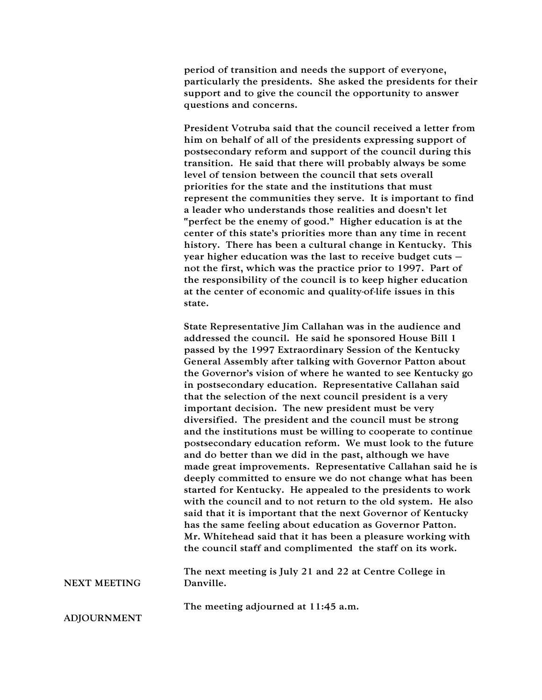period of transition and needs the support of everyone, particularly the presidents. She asked the presidents for their support and to give the council the opportunity to answer questions and concerns.

President Votruba said that the council received a letter from him on behalf of all of the presidents expressing support of postsecondary reform and support of the council during this transition. He said that there will probably always be some level of tension between the council that sets overall priorities for the state and the institutions that must represent the communities they serve. It is important to find a leader who understands those realities and doesn't let "perfect be the enemy of good." Higher education is at the center of this state's priorities more than any time in recent history. There has been a cultural change in Kentucky. This year higher education was the last to receive budget cuts – not the first, which was the practice prior to 1997. Part of the responsibility of the council is to keep higher education at the center of economic and quality-of-life issues in this state.

State Representative Jim Callahan was in the audience and addressed the council. He said he sponsored House Bill 1 passed by the 1997 Extraordinary Session of the Kentucky General Assembly after talking with Governor Patton about the Governor's vision of where he wanted to see Kentucky go in postsecondary education. Representative Callahan said that the selection of the next council president is a very important decision. The new president must be very diversified. The president and the council must be strong and the institutions must be willing to cooperate to continue postsecondary education reform. We must look to the future and do better than we did in the past, although we have made great improvements. Representative Callahan said he is deeply committed to ensure we do not change what has been started for Kentucky. He appealed to the presidents to work with the council and to not return to the old system. He also said that it is important that the next Governor of Kentucky has the same feeling about education as Governor Patton. Mr. Whitehead said that it has been a pleasure working with the council staff and complimented the staff on its work.

NEXT MEETING The next meeting is July 21 and 22 at Centre College in Danville.

The meeting adjourned at 11:45 a.m.

ADJOURNMENT